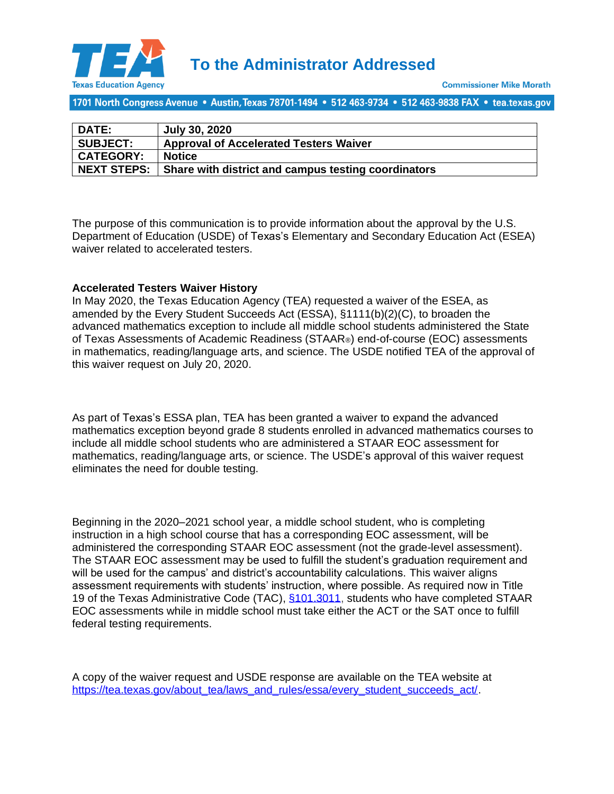

1701 North Congress Avenue • Austin, Texas 78701-1494 • 512 463-9734 • 512 463-9838 FAX • tea.texas.gov

| <b>DATE:</b>       | <b>July 30, 2020</b>                                |
|--------------------|-----------------------------------------------------|
| <b>SUBJECT:</b>    | <b>Approval of Accelerated Testers Waiver</b>       |
| <b>CATEGORY:</b>   | <b>Notice</b>                                       |
| <b>NEXT STEPS:</b> | Share with district and campus testing coordinators |

The purpose of this communication is to provide information about the approval by the U.S. Department of Education (USDE) of Texas's Elementary and Secondary Education Act (ESEA) waiver related to accelerated testers.

## **Accelerated Testers Waiver History**

In May 2020, the Texas Education Agency (TEA) requested a waiver of the ESEA, as amended by the Every Student Succeeds Act (ESSA), §1111(b)(2)(C), to broaden the advanced mathematics exception to include all middle school students administered the State of Texas Assessments of Academic Readiness (STAAR®) end-of-course (EOC) assessments in mathematics, reading/language arts, and science. The USDE notified TEA of the approval of this waiver request on July 20, 2020.

As part of Texas's ESSA plan, TEA has been granted a waiver to expand the advanced mathematics exception beyond grade 8 students enrolled in advanced mathematics courses to include all middle school students who are administered a STAAR EOC assessment for mathematics, reading/language arts, or science. The USDE's approval of this waiver request eliminates the need for double testing.

Beginning in the 2020–2021 school year, a middle school student, who is completing instruction in a high school course that has a corresponding EOC assessment, will be administered the corresponding STAAR EOC assessment (not the grade-level assessment). The STAAR EOC assessment may be used to fulfill the student's graduation requirement and will be used for the campus' and district's accountability calculations. This waiver aligns assessment requirements with students' instruction, where possible. As required now in Title 19 of the Texas Administrative Code (TAC), [§101.3011,](http://texreg.sos.state.tx.us/public/readtac$ext.TacPage?sl=R&app=9&p_dir=&p_rloc=&p_tloc=&p_ploc=&pg=1&p_tac=&ti=19&pt=2&ch=101&rl=3011) students who have completed STAAR EOC assessments while in middle school must take either the ACT or the SAT once to fulfill federal testing requirements.

A copy of the waiver request and USDE response are available on the TEA website at [https://tea.texas.gov/about\\_tea/laws\\_and\\_rules/essa/every\\_student\\_succeeds\\_act/.](https://tea.texas.gov/about-tea/laws-and-rules/essa/every-student-succeeds-act)